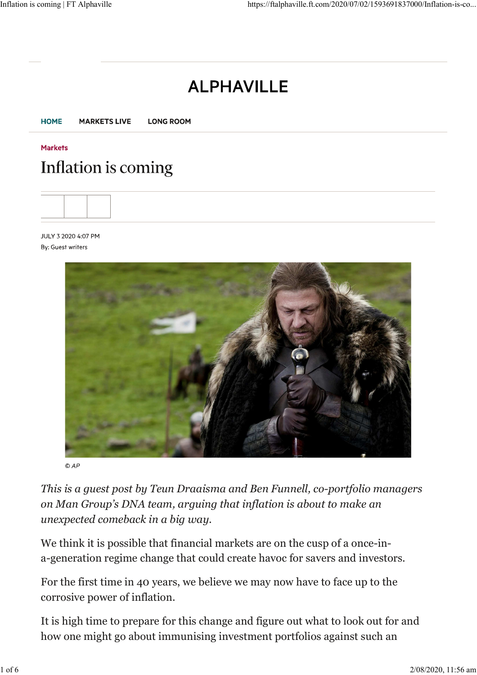# **ALPHAVILLE**



### **Markets** Inflation is coming

JULY 3 2020 4:07 PM By: Guest writers



 $OAP$ 

*This is a guest post by Teun Draaisma and Ben Funnell, co-portfolio managers on Man Group's DNA team, arguing that inflation is about to make an unexpected comeback in a big way.*

We think it is possible that financial markets are on the cusp of a once-ina-generation regime change that could create havoc for savers and investors.

For the first time in 40 years, we believe we may now have to face up to the corrosive power of inflation.

It is high time to prepare for this change and figure out what to look out for and how one might go about immunising investment portfolios against such an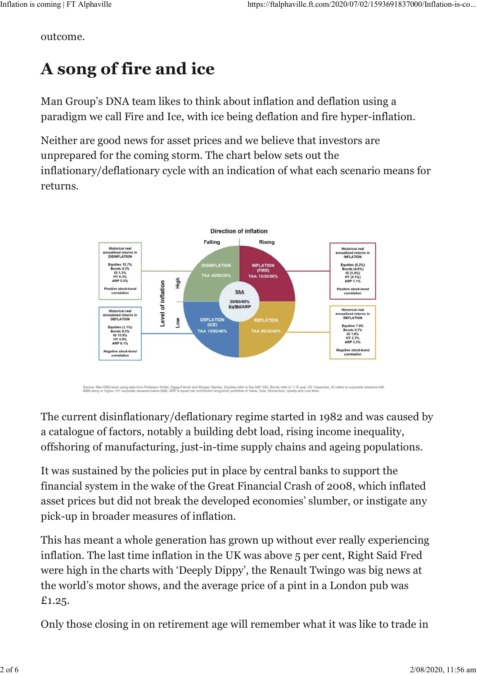outcome.

# **A song of fire and ice**

Man Group's DNA team likes to think about inflation and deflation using a paradigm we call Fire and Ice, with ice being deflation and fire hyper-inflation.

Neither are good news for asset prices and we believe that investors are unprepared for the coming storm. The chart below sets out the inflationary/deflationary cycle with an indication of what each scenario means for returns.



Source: Man DNA team using data from Professor Shiller, Egma-French and Morgan Stanley, Equities refer to the S&P 500, Bonds refer to 7-10 year US Treasuries, IG refers to corporate issuance with<br>BBB rating or higher, HY c

The current disinflationary/deflationary regime started in 1982 and was caused by a catalogue of factors, notably a building debt load, rising income inequality, offshoring of manufacturing, just-in-time supply chains and ageing populations.

It was sustained by the policies put in place by central banks to support the financial system in the wake of the Great Financial Crash of 2008, which inflated asset prices but did not break the developed economies' slumber, or instigate any pick-up in broader measures of inflation.

This has meant a whole generation has grown up without ever really experiencing inflation. The last time inflation in the UK was above 5 per cent, Right Said Fred were high in the charts with 'Deeply Dippy', the Renault Twingo was big news at the world's motor shows, and the average price of a pint in a London pub was £1.25.

Only those closing in on retirement age will remember what it was like to trade in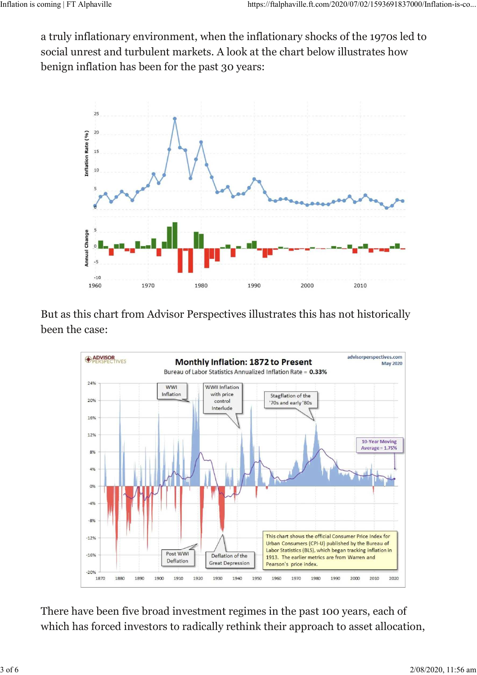a truly inflationary environment, when the inflationary shocks of the 1970s led to social unrest and turbulent markets. A look at the chart below illustrates how benign inflation has been for the past 30 years:



But as this chart from Advisor Perspectives illustrates this has not historically been the case:



There have been five broad investment regimes in the past 100 years, each of which has forced investors to radically rethink their approach to asset allocation,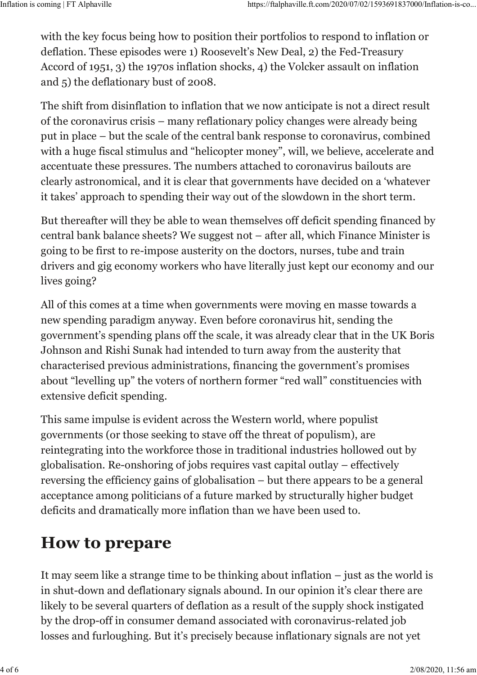with the key focus being how to position their portfolios to respond to inflation or deflation. These episodes were 1) Roosevelt's New Deal, 2) the Fed-Treasury Accord of 1951, 3) the 1970s inflation shocks, 4) the Volcker assault on inflation and 5) the deflationary bust of 2008.

The shift from disinflation to inflation that we now anticipate is not a direct result of the coronavirus crisis – many reflationary policy changes were already being put in place – but the scale of the central bank response to coronavirus, combined with a huge fiscal stimulus and "helicopter money", will, we believe, accelerate and accentuate these pressures. The numbers attached to coronavirus bailouts are clearly astronomical, and it is clear that governments have decided on a 'whatever it takes' approach to spending their way out of the slowdown in the short term.

But thereafter will they be able to wean themselves off deficit spending financed by central bank balance sheets? We suggest not – after all, which Finance Minister is going to be first to re-impose austerity on the doctors, nurses, tube and train drivers and gig economy workers who have literally just kept our economy and our lives going?

All of this comes at a time when governments were moving en masse towards a new spending paradigm anyway. Even before coronavirus hit, sending the government's spending plans off the scale, it was already clear that in the UK Boris Johnson and Rishi Sunak had intended to turn away from the austerity that characterised previous administrations, financing the government's promises about "levelling up" the voters of northern former "red wall" constituencies with extensive deficit spending.

This same impulse is evident across the Western world, where populist governments (or those seeking to stave off the threat of populism), are reintegrating into the workforce those in traditional industries hollowed out by globalisation. Re-onshoring of jobs requires vast capital outlay – effectively reversing the efficiency gains of globalisation – but there appears to be a general acceptance among politicians of a future marked by structurally higher budget deficits and dramatically more inflation than we have been used to.

# **How to prepare**

It may seem like a strange time to be thinking about inflation – just as the world is in shut-down and deflationary signals abound. In our opinion it's clear there are likely to be several quarters of deflation as a result of the supply shock instigated by the drop-off in consumer demand associated with coronavirus-related job losses and furloughing. But it's precisely because inflationary signals are not yet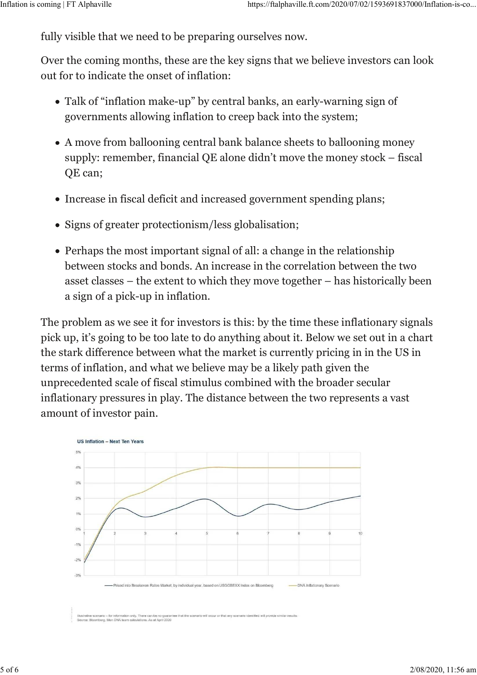fully visible that we need to be preparing ourselves now.

Over the coming months, these are the key signs that we believe investors can look out for to indicate the onset of inflation:

- Talk of "inflation make-up" by central banks, an early-warning sign of governments allowing inflation to creep back into the system;
- A move from ballooning central bank balance sheets to ballooning money supply: remember, financial QE alone didn't move the money stock – fiscal QE can;
- Increase in fiscal deficit and increased government spending plans;
- Signs of greater protectionism/less globalisation;
- Perhaps the most important signal of all: a change in the relationship between stocks and bonds. An increase in the correlation between the two asset classes – the extent to which they move together – has historically been a sign of a pick-up in inflation.

The problem as we see it for investors is this: by the time these inflationary signals pick up, it's going to be too late to do anything about it. Below we set out in a chart the stark difference between what the market is currently pricing in in the US in terms of inflation, and what we believe may be a likely path given the unprecedented scale of fiscal stimulus combined with the broader secular inflationary pressures in play. The distance between the two represents a vast amount of investor pain.



mberg. Man DNA team call